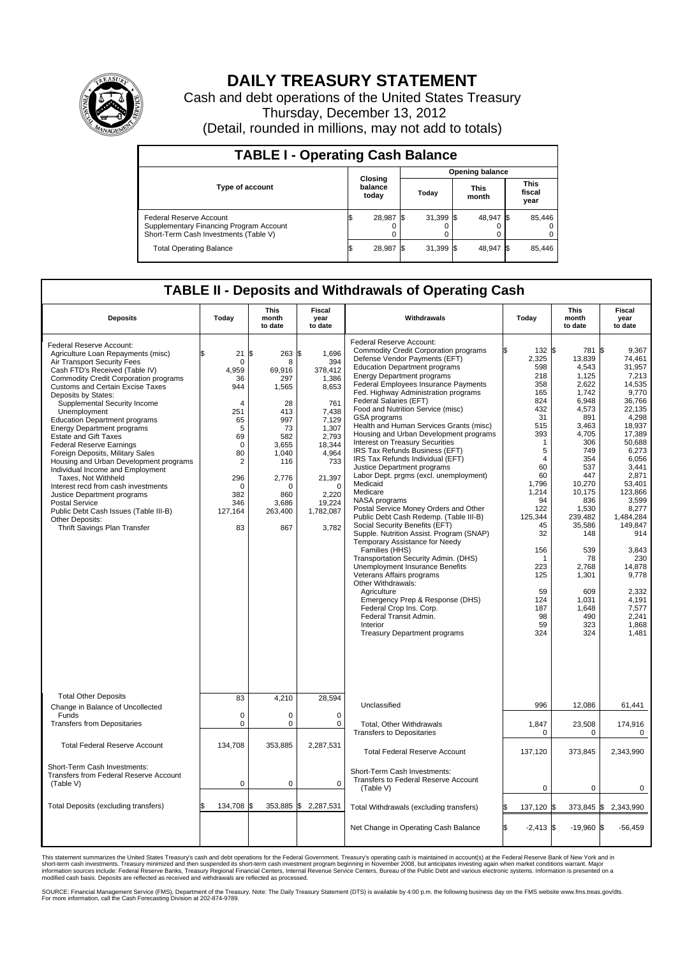

## **DAILY TREASURY STATEMENT**

Cash and debt operations of the United States Treasury Thursday, December 13, 2012 (Detail, rounded in millions, may not add to totals)

| <b>TABLE I - Operating Cash Balance</b>                                                                     |                             |  |                               |  |                               |  |                         |  |  |
|-------------------------------------------------------------------------------------------------------------|-----------------------------|--|-------------------------------|--|-------------------------------|--|-------------------------|--|--|
|                                                                                                             |                             |  | <b>Opening balance</b>        |  |                               |  |                         |  |  |
| <b>Type of account</b>                                                                                      | Closing<br>balance<br>today |  | <b>This</b><br>Today<br>month |  | <b>This</b><br>fiscal<br>year |  |                         |  |  |
| Federal Reserve Account<br>Supplementary Financing Program Account<br>Short-Term Cash Investments (Table V) | 28,987 \$<br>0              |  | $31,399$ \$                   |  | 48,947 \$                     |  | 85,446<br>$^{(1)}$<br>0 |  |  |
| <b>Total Operating Balance</b>                                                                              | 28,987                      |  | $31,399$ \$                   |  | 48,947 \$                     |  | 85.446                  |  |  |

## **TABLE II - Deposits and Withdrawals of Operating Cash**

| <b>Deposits</b>                                                                                                                                                                                                                                                                                                                                                                                                                                                                                                                                                                                                                                                                                                                                                                       | Today                                                                                                                                  | This<br>month<br>to date                                                                                                                            | Fiscal<br>year<br>Withdrawals<br>to date                                                                                                                                                |                                                                                                                                                                                                                                                                                                                                                                                                                                                                                                                                                                                                                                                                                                                                                                                                                                                                                                                                                                                                                                                                                                                                                                                           | Today                                                                                                                                                                                                                                                             | This<br>month<br>to date                                                                                                                                                                                                                                                     | Fiscal<br>year<br>to date                                                                                                                                                                                                                                                                                                  |  |
|---------------------------------------------------------------------------------------------------------------------------------------------------------------------------------------------------------------------------------------------------------------------------------------------------------------------------------------------------------------------------------------------------------------------------------------------------------------------------------------------------------------------------------------------------------------------------------------------------------------------------------------------------------------------------------------------------------------------------------------------------------------------------------------|----------------------------------------------------------------------------------------------------------------------------------------|-----------------------------------------------------------------------------------------------------------------------------------------------------|-----------------------------------------------------------------------------------------------------------------------------------------------------------------------------------------|-------------------------------------------------------------------------------------------------------------------------------------------------------------------------------------------------------------------------------------------------------------------------------------------------------------------------------------------------------------------------------------------------------------------------------------------------------------------------------------------------------------------------------------------------------------------------------------------------------------------------------------------------------------------------------------------------------------------------------------------------------------------------------------------------------------------------------------------------------------------------------------------------------------------------------------------------------------------------------------------------------------------------------------------------------------------------------------------------------------------------------------------------------------------------------------------|-------------------------------------------------------------------------------------------------------------------------------------------------------------------------------------------------------------------------------------------------------------------|------------------------------------------------------------------------------------------------------------------------------------------------------------------------------------------------------------------------------------------------------------------------------|----------------------------------------------------------------------------------------------------------------------------------------------------------------------------------------------------------------------------------------------------------------------------------------------------------------------------|--|
| Federal Reserve Account:<br>Agriculture Loan Repayments (misc)<br>Air Transport Security Fees<br>Cash FTD's Received (Table IV)<br><b>Commodity Credit Corporation programs</b><br><b>Customs and Certain Excise Taxes</b><br>Deposits by States:<br>Supplemental Security Income<br>Unemployment<br><b>Education Department programs</b><br><b>Energy Department programs</b><br><b>Estate and Gift Taxes</b><br><b>Federal Reserve Earnings</b><br>Foreign Deposits, Military Sales<br>Housing and Urban Development programs<br>Individual Income and Employment<br>Taxes, Not Withheld<br>Interest recd from cash investments<br>Justice Department programs<br><b>Postal Service</b><br>Public Debt Cash Issues (Table III-B)<br>Other Deposits:<br>Thrift Savings Plan Transfer | \$.<br>21<br>0<br>4.959<br>36<br>944<br>4<br>251<br>65<br>5<br>69<br>$\mathbf 0$<br>80<br>2<br>296<br>0<br>382<br>346<br>127,164<br>83 | 263<br>l\$<br>8<br>69,916<br>297<br>1,565<br>28<br>413<br>997<br>73<br>582<br>3,655<br>1,040<br>116<br>2,776<br>0<br>860<br>3,686<br>263,400<br>867 | l\$<br>1.696<br>394<br>378,412<br>1,386<br>8,653<br>761<br>7,438<br>7.129<br>1,307<br>2,793<br>18,344<br>4,964<br>733<br>21,397<br>$\mathbf 0$<br>2,220<br>19,224<br>1,782,087<br>3,782 | Federal Reserve Account:<br><b>Commodity Credit Corporation programs</b><br>Defense Vendor Payments (EFT)<br><b>Education Department programs</b><br><b>Energy Department programs</b><br>Federal Employees Insurance Payments<br>Fed. Highway Administration programs<br>Federal Salaries (EFT)<br>Food and Nutrition Service (misc)<br>GSA programs<br>Health and Human Services Grants (misc)<br>Housing and Urban Development programs<br>Interest on Treasury Securities<br>IRS Tax Refunds Business (EFT)<br>IRS Tax Refunds Individual (EFT)<br>Justice Department programs<br>Labor Dept. prgms (excl. unemployment)<br>Medicaid<br>Medicare<br>NASA programs<br>Postal Service Money Orders and Other<br>Public Debt Cash Redemp. (Table III-B)<br>Social Security Benefits (EFT)<br>Supple. Nutrition Assist. Program (SNAP)<br>Temporary Assistance for Needy<br>Families (HHS)<br>Transportation Security Admin. (DHS)<br><b>Unemployment Insurance Benefits</b><br>Veterans Affairs programs<br>Other Withdrawals:<br>Agriculture<br>Emergency Prep & Response (DHS)<br>Federal Crop Ins. Corp.<br>Federal Transit Admin.<br>Interior<br><b>Treasury Department programs</b> | 132 \$<br>2,325<br>598<br>218<br>358<br>165<br>824<br>432<br>31<br>515<br>393<br>$\mathbf{1}$<br>5<br>$\overline{4}$<br>60<br>60<br>1,796<br>1,214<br>94<br>122<br>125,344<br>45<br>32<br>156<br>$\mathbf 1$<br>223<br>125<br>59<br>124<br>187<br>98<br>59<br>324 | 781<br>13,839<br>4,543<br>1,125<br>2,622<br>1.742<br>6,948<br>4,573<br>891<br>3.463<br>4,705<br>306<br>749<br>354<br>537<br>447<br>10,270<br>10.175<br>836<br>1,530<br>239,482<br>35,586<br>148<br>539<br>78<br>2.768<br>1,301<br>609<br>1.031<br>1,648<br>490<br>323<br>324 | l\$<br>9.367<br>74.461<br>31,957<br>7,213<br>14,535<br>9,770<br>36,766<br>22,135<br>4,298<br>18,937<br>17,389<br>50,688<br>6,273<br>6,056<br>3.441<br>2,871<br>53,401<br>123,866<br>3,599<br>8,277<br>1,484,284<br>149,847<br>914<br>3,843<br>230<br>14.878<br>9,778<br>2,332<br>4.191<br>7,577<br>2,241<br>1,868<br>1,481 |  |
| <b>Total Other Deposits</b><br>Change in Balance of Uncollected                                                                                                                                                                                                                                                                                                                                                                                                                                                                                                                                                                                                                                                                                                                       | 83                                                                                                                                     | 4,210                                                                                                                                               | 28,594                                                                                                                                                                                  | Unclassified                                                                                                                                                                                                                                                                                                                                                                                                                                                                                                                                                                                                                                                                                                                                                                                                                                                                                                                                                                                                                                                                                                                                                                              | 996                                                                                                                                                                                                                                                               | 12,086                                                                                                                                                                                                                                                                       | 61,441                                                                                                                                                                                                                                                                                                                     |  |
| Funds<br><b>Transfers from Depositaries</b>                                                                                                                                                                                                                                                                                                                                                                                                                                                                                                                                                                                                                                                                                                                                           | $\mathbf 0$<br>0                                                                                                                       | $\mathbf 0$<br>$\mathbf 0$                                                                                                                          | $\mathbf 0$<br>$\mathbf 0$                                                                                                                                                              | <b>Total, Other Withdrawals</b><br><b>Transfers to Depositaries</b>                                                                                                                                                                                                                                                                                                                                                                                                                                                                                                                                                                                                                                                                                                                                                                                                                                                                                                                                                                                                                                                                                                                       | 1,847<br>0                                                                                                                                                                                                                                                        | 23,508<br>0                                                                                                                                                                                                                                                                  | 174,916<br>0                                                                                                                                                                                                                                                                                                               |  |
| <b>Total Federal Reserve Account</b>                                                                                                                                                                                                                                                                                                                                                                                                                                                                                                                                                                                                                                                                                                                                                  | 134,708                                                                                                                                | 353,885                                                                                                                                             | 2,287,531                                                                                                                                                                               | <b>Total Federal Reserve Account</b>                                                                                                                                                                                                                                                                                                                                                                                                                                                                                                                                                                                                                                                                                                                                                                                                                                                                                                                                                                                                                                                                                                                                                      | 137,120                                                                                                                                                                                                                                                           | 373,845                                                                                                                                                                                                                                                                      | 2,343,990                                                                                                                                                                                                                                                                                                                  |  |
| Short-Term Cash Investments:<br>Transfers from Federal Reserve Account<br>(Table V)                                                                                                                                                                                                                                                                                                                                                                                                                                                                                                                                                                                                                                                                                                   | $\mathbf 0$                                                                                                                            | 0                                                                                                                                                   | $\Omega$                                                                                                                                                                                | Short-Term Cash Investments:<br>Transfers to Federal Reserve Account<br>(Table V)                                                                                                                                                                                                                                                                                                                                                                                                                                                                                                                                                                                                                                                                                                                                                                                                                                                                                                                                                                                                                                                                                                         | $\mathbf 0$                                                                                                                                                                                                                                                       | 0                                                                                                                                                                                                                                                                            | 0                                                                                                                                                                                                                                                                                                                          |  |
| Total Deposits (excluding transfers)                                                                                                                                                                                                                                                                                                                                                                                                                                                                                                                                                                                                                                                                                                                                                  | 134,708                                                                                                                                | 353,885<br>l\$                                                                                                                                      | Ι\$<br>2,287,531                                                                                                                                                                        | Total Withdrawals (excluding transfers)                                                                                                                                                                                                                                                                                                                                                                                                                                                                                                                                                                                                                                                                                                                                                                                                                                                                                                                                                                                                                                                                                                                                                   | 137,120                                                                                                                                                                                                                                                           | $373,845$ \$                                                                                                                                                                                                                                                                 | 2,343,990                                                                                                                                                                                                                                                                                                                  |  |
|                                                                                                                                                                                                                                                                                                                                                                                                                                                                                                                                                                                                                                                                                                                                                                                       |                                                                                                                                        |                                                                                                                                                     |                                                                                                                                                                                         | Net Change in Operating Cash Balance                                                                                                                                                                                                                                                                                                                                                                                                                                                                                                                                                                                                                                                                                                                                                                                                                                                                                                                                                                                                                                                                                                                                                      | $-2,413$ \$                                                                                                                                                                                                                                                       | $-19,960$ \$                                                                                                                                                                                                                                                                 | $-56,459$                                                                                                                                                                                                                                                                                                                  |  |

This statement summarizes the United States Treasury's cash and debt operations for the Federal Government. Treasury's operating cash is maintained in account(s) at the Federal Reserve Bank of New York and in<br>short-term ca

SOURCE: Financial Management Service (FMS), Department of the Treasury. Note: The Daily Treasury Statement (DTS) is available by 4:00 p.m. the following business day on the FMS website www.fms.treas.gov/dts.<br>For more infor